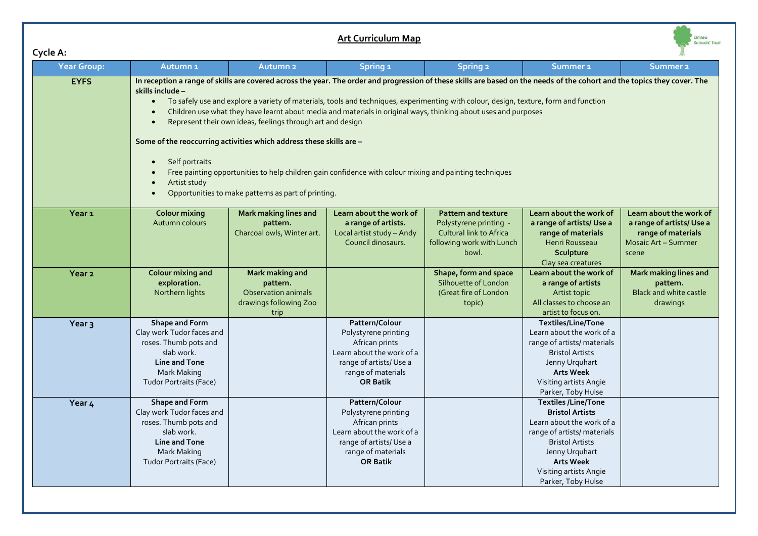## **Art Curriculum Map**

| -yuc m.            |                                                                                                                                                                                                                                                                                                                                                                                                                                                                                                                                                                                                                                            |                                                                                                                                                                |                                                                                                                                                          |                                                                                                                              |                                                                                                                                                                                                |                                                                                                                  |  |
|--------------------|--------------------------------------------------------------------------------------------------------------------------------------------------------------------------------------------------------------------------------------------------------------------------------------------------------------------------------------------------------------------------------------------------------------------------------------------------------------------------------------------------------------------------------------------------------------------------------------------------------------------------------------------|----------------------------------------------------------------------------------------------------------------------------------------------------------------|----------------------------------------------------------------------------------------------------------------------------------------------------------|------------------------------------------------------------------------------------------------------------------------------|------------------------------------------------------------------------------------------------------------------------------------------------------------------------------------------------|------------------------------------------------------------------------------------------------------------------|--|
| <b>Year Group:</b> | Autumn <sub>1</sub>                                                                                                                                                                                                                                                                                                                                                                                                                                                                                                                                                                                                                        | Autumn <sub>2</sub>                                                                                                                                            | Spring <sub>1</sub>                                                                                                                                      | <b>Spring 2</b>                                                                                                              | Summer <sub>1</sub>                                                                                                                                                                            | <b>Summer 2</b>                                                                                                  |  |
| <b>EYFS</b>        | In reception a range of skills are covered across the year. The order and progression of these skills are based on the needs of the cohort and the topics they cover. The<br>skills include –<br>To safely use and explore a variety of materials, tools and techniques, experimenting with colour, design, texture, form and function<br>$\bullet$<br>Children use what they have learnt about media and materials in original ways, thinking about uses and purposes<br>Represent their own ideas, feelings through art and design<br>Some of the reoccurring activities which address these skills are -<br>Self portraits<br>$\bullet$ |                                                                                                                                                                |                                                                                                                                                          |                                                                                                                              |                                                                                                                                                                                                |                                                                                                                  |  |
|                    | Artist study<br>$\bullet$                                                                                                                                                                                                                                                                                                                                                                                                                                                                                                                                                                                                                  | Free painting opportunities to help children gain confidence with colour mixing and painting techniques<br>Opportunities to make patterns as part of printing. |                                                                                                                                                          |                                                                                                                              |                                                                                                                                                                                                |                                                                                                                  |  |
| Year <sub>1</sub>  | <b>Colour mixing</b><br>Autumn colours                                                                                                                                                                                                                                                                                                                                                                                                                                                                                                                                                                                                     | <b>Mark making lines and</b><br>pattern.<br>Charcoal owls, Winter art.                                                                                         | Learn about the work of<br>a range of artists.<br>Local artist study - Andy<br>Council dinosaurs.                                                        | <b>Pattern and texture</b><br>Polystyrene printing -<br><b>Cultural link to Africa</b><br>following work with Lunch<br>bowl. | Learn about the work of<br>a range of artists/Use a<br>range of materials<br>Henri Rousseau<br>Sculpture<br>Clay sea creatures                                                                 | Learn about the work of<br>a range of artists/Use a<br>range of materials<br><b>Mosaic Art - Summer</b><br>scene |  |
| Year <sub>2</sub>  | <b>Colour mixing and</b><br>exploration.<br>Northern lights                                                                                                                                                                                                                                                                                                                                                                                                                                                                                                                                                                                | Mark making and<br>pattern.<br>Observation animals<br>drawings following Zoo<br>trip                                                                           |                                                                                                                                                          | Shape, form and space<br>Silhouette of London<br>(Great fire of London<br>topic)                                             | Learn about the work of<br>a range of artists<br>Artist topic<br>All classes to choose an<br>artist to focus on.                                                                               | Mark making lines and<br>pattern.<br><b>Black and white castle</b><br>drawings                                   |  |
| Year <sub>3</sub>  | Shape and Form<br>Clay work Tudor faces and<br>roses. Thumb pots and<br>slab work.<br><b>Line and Tone</b><br>Mark Making<br><b>Tudor Portraits (Face)</b>                                                                                                                                                                                                                                                                                                                                                                                                                                                                                 |                                                                                                                                                                | Pattern/Colour<br>Polystyrene printing<br>African prints<br>Learn about the work of a<br>range of artists/Use a<br>range of materials<br><b>OR Batik</b> |                                                                                                                              | Textiles/Line/Tone<br>Learn about the work of a<br>range of artists/ materials<br><b>Bristol Artists</b><br>Jenny Urquhart<br><b>Arts Week</b><br>Visiting artists Angie<br>Parker, Toby Hulse |                                                                                                                  |  |
| Year 4             | Shape and Form<br>Clay work Tudor faces and                                                                                                                                                                                                                                                                                                                                                                                                                                                                                                                                                                                                |                                                                                                                                                                | Pattern/Colour<br>Polystyrene printing                                                                                                                   |                                                                                                                              | <b>Textiles /Line/Tone</b><br><b>Bristol Artists</b>                                                                                                                                           |                                                                                                                  |  |

Polystyrene printing African prints Learn about the work of a range of artists/ Use a range of materials **OR Batik**

Elmlea<br>Schools' Trust

Learn about the work of a range of artists/ materials Bristol Artists Jenny Urquhart **Arts Week** Visiting artists Angie Parker, Toby Hulse

Clay work Tudor faces and roses. Thumb pots and slab work. **Line and Tone** Mark Making Tudor Portraits (Face)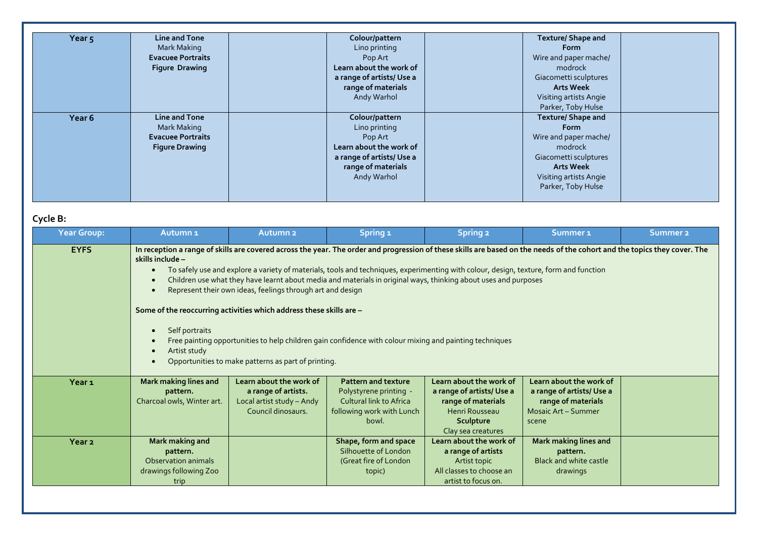| Year <sub>5</sub> | <b>Line and Tone</b>     | Colour/pattern           | <b>Texture/ Shape and</b> |  |
|-------------------|--------------------------|--------------------------|---------------------------|--|
|                   | Mark Making              | Lino printing            | <b>Form</b>               |  |
|                   | <b>Evacuee Portraits</b> | Pop Art                  | Wire and paper mache/     |  |
|                   | <b>Figure Drawing</b>    | Learn about the work of  | modrock                   |  |
|                   |                          | a range of artists/Use a | Giacometti sculptures     |  |
|                   |                          | range of materials       | <b>Arts Week</b>          |  |
|                   |                          | Andy Warhol              | Visiting artists Angie    |  |
|                   |                          |                          | Parker, Toby Hulse        |  |
| Year <sub>6</sub> | <b>Line and Tone</b>     | Colour/pattern           | <b>Texture/ Shape and</b> |  |
|                   | Mark Making              | Lino printing            | <b>Form</b>               |  |
|                   | <b>Evacuee Portraits</b> | Pop Art                  | Wire and paper mache/     |  |
|                   | <b>Figure Drawing</b>    | Learn about the work of  | modrock                   |  |
|                   |                          | a range of artists/Use a | Giacometti sculptures     |  |
|                   |                          | range of materials       | <b>Arts Week</b>          |  |
|                   |                          | Andy Warhol              | Visiting artists Angie    |  |
|                   |                          |                          | Parker, Toby Hulse        |  |

## **Cycle B:**

| Year Group:       | Autumn <sub>1</sub>                                                                                                                                                                                                                                                                                                                                                                                                                                                                                                                                                                                                                                                                                                                                                                                                                                                                           | <b>Autumn<sub>2</sub></b>                                                                         | Spring <sub>1</sub>                                                                                                          | <b>Spring 2</b>                                                                                                                 | Summer <sub>1</sub>                                                                                       | <b>Summer 2</b> |
|-------------------|-----------------------------------------------------------------------------------------------------------------------------------------------------------------------------------------------------------------------------------------------------------------------------------------------------------------------------------------------------------------------------------------------------------------------------------------------------------------------------------------------------------------------------------------------------------------------------------------------------------------------------------------------------------------------------------------------------------------------------------------------------------------------------------------------------------------------------------------------------------------------------------------------|---------------------------------------------------------------------------------------------------|------------------------------------------------------------------------------------------------------------------------------|---------------------------------------------------------------------------------------------------------------------------------|-----------------------------------------------------------------------------------------------------------|-----------------|
| <b>EYFS</b>       | In reception a range of skills are covered across the year. The order and progression of these skills are based on the needs of the cohort and the topics they cover. The<br>skills include -<br>To safely use and explore a variety of materials, tools and techniques, experimenting with colour, design, texture, form and function<br>$\bullet$<br>Children use what they have learnt about media and materials in original ways, thinking about uses and purposes<br>$\bullet$<br>Represent their own ideas, feelings through art and design<br>$\bullet$<br>Some of the reoccurring activities which address these skills are -<br>Self portraits<br>$\bullet$<br>Free painting opportunities to help children gain confidence with colour mixing and painting techniques<br>$\bullet$<br>Artist study<br>$\bullet$<br>Opportunities to make patterns as part of printing.<br>$\bullet$ |                                                                                                   |                                                                                                                              |                                                                                                                                 |                                                                                                           |                 |
| Year <sub>1</sub> | Mark making lines and<br>pattern.<br>Charcoal owls, Winter art.                                                                                                                                                                                                                                                                                                                                                                                                                                                                                                                                                                                                                                                                                                                                                                                                                               | Learn about the work of<br>a range of artists.<br>Local artist study - Andy<br>Council dinosaurs. | <b>Pattern and texture</b><br>Polystyrene printing -<br><b>Cultural link to Africa</b><br>following work with Lunch<br>bowl. | Learn about the work of<br>a range of artists/ Use a<br>range of materials<br>Henri Rousseau<br>Sculpture<br>Clay sea creatures | Learn about the work of<br>a range of artists/Use a<br>range of materials<br>Mosaic Art - Summer<br>scene |                 |
| Year <sub>2</sub> | Mark making and<br>pattern.<br>Observation animals<br>drawings following Zoo<br>trip                                                                                                                                                                                                                                                                                                                                                                                                                                                                                                                                                                                                                                                                                                                                                                                                          |                                                                                                   | Shape, form and space<br>Silhouette of London<br>(Great fire of London<br>topic)                                             | Learn about the work of<br>a range of artists<br>Artist topic<br>All classes to choose an<br>artist to focus on.                | <b>Mark making lines and</b><br>pattern.<br><b>Black and white castle</b><br>drawings                     |                 |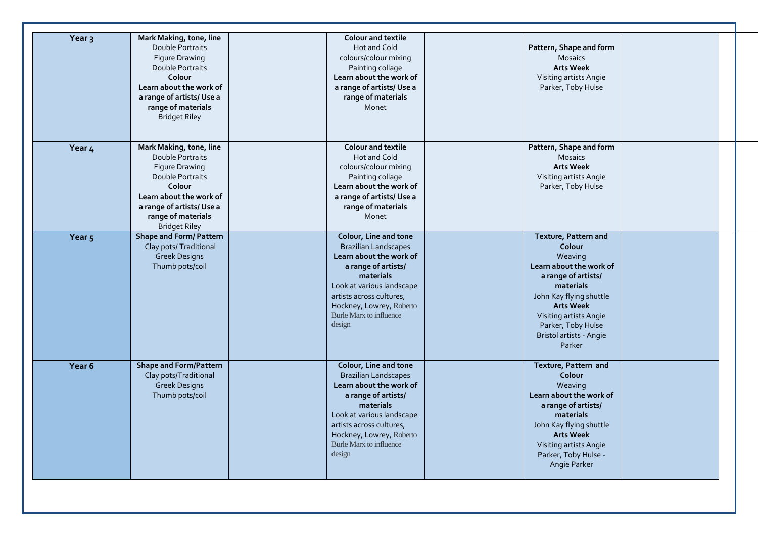| Year <sub>3</sub> | Mark Making, tone, line<br>Double Portraits<br>Figure Drawing<br>Double Portraits<br>Colour<br>Learn about the work of<br>a range of artists/Use a<br>range of materials<br><b>Bridget Riley</b>        | <b>Colour and textile</b><br>Hot and Cold<br>colours/colour mixing<br>Painting collage<br>Learn about the work of<br>a range of artists/ Use a<br>range of materials<br>Monet                                                                        | Pattern, Shape and form<br><b>Mosaics</b><br><b>Arts Week</b><br>Visiting artists Angie<br>Parker, Toby Hulse                                                                                                                                |  |
|-------------------|---------------------------------------------------------------------------------------------------------------------------------------------------------------------------------------------------------|------------------------------------------------------------------------------------------------------------------------------------------------------------------------------------------------------------------------------------------------------|----------------------------------------------------------------------------------------------------------------------------------------------------------------------------------------------------------------------------------------------|--|
| Year 4            | Mark Making, tone, line<br>Double Portraits<br><b>Figure Drawing</b><br>Double Portraits<br>Colour<br>Learn about the work of<br>a range of artists/Use a<br>range of materials<br><b>Bridget Riley</b> | <b>Colour and textile</b><br>Hot and Cold<br>colours/colour mixing<br>Painting collage<br>Learn about the work of<br>a range of artists/Use a<br>range of materials<br>Monet                                                                         | Pattern, Shape and form<br><b>Mosaics</b><br><b>Arts Week</b><br>Visiting artists Angie<br>Parker, Toby Hulse                                                                                                                                |  |
| Year <sub>5</sub> | Shape and Form/ Pattern<br>Clay pots/ Traditional<br><b>Greek Designs</b><br>Thumb pots/coil                                                                                                            | Colour, Line and tone<br><b>Brazilian Landscapes</b><br>Learn about the work of<br>a range of artists/<br>materials<br>Look at various landscape<br>artists across cultures,<br>Hockney, Lowrey, Roberto<br><b>Burle Marx to influence</b><br>design | Texture, Pattern and<br>Colour<br>Weaving<br>Learn about the work of<br>a range of artists/<br>materials<br>John Kay flying shuttle<br><b>Arts Week</b><br>Visiting artists Angie<br>Parker, Toby Hulse<br>Bristol artists - Angie<br>Parker |  |
| Year 6            | <b>Shape and Form/Pattern</b><br>Clay pots/Traditional<br><b>Greek Designs</b><br>Thumb pots/coil                                                                                                       | Colour, Line and tone<br><b>Brazilian Landscapes</b><br>Learn about the work of<br>a range of artists/<br>materials<br>Look at various landscape<br>artists across cultures,<br>Hockney, Lowrey, Roberto<br>Burle Marx to influence<br>design        | Texture, Pattern and<br>Colour<br>Weaving<br>Learn about the work of<br>a range of artists/<br>materials<br>John Kay flying shuttle<br><b>Arts Week</b><br>Visiting artists Angie<br>Parker, Toby Hulse -<br>Angie Parker                    |  |